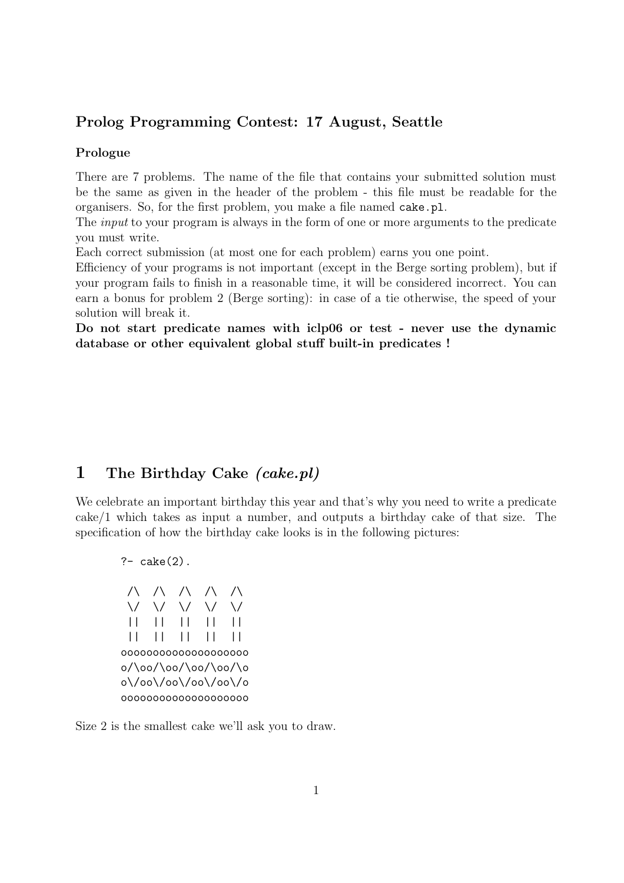#### Prolog Programming Contest: 17 August, Seattle

#### Prologue

There are 7 problems. The name of the file that contains your submitted solution must be the same as given in the header of the problem - this file must be readable for the organisers. So, for the first problem, you make a file named cake.pl.

The *input* to your program is always in the form of one or more arguments to the predicate you must write.

Each correct submission (at most one for each problem) earns you one point.

Efficiency of your programs is not important (except in the Berge sorting problem), but if your program fails to finish in a reasonable time, it will be considered incorrect. You can earn a bonus for problem 2 (Berge sorting): in case of a tie otherwise, the speed of your solution will break it.

Do not start predicate names with iclp06 or test - never use the dynamic database or other equivalent global stuff built-in predicates !

## 1 The Birthday Cake (cake.pl)

We celebrate an important birthday this year and that's why you need to write a predicate cake/1 which takes as input a number, and outputs a birthday cake of that size. The specification of how the birthday cake looks is in the following pictures:

?- cake(2). /\ /\ /\ /\ /\ \/ \/ \/ \/ \/ || || || || || || || || || || oooooooooooooooooooo o/\oo/\oo/\oo/\oo/\o o\/oo\/oo\/oo\/oo\/o oooooooooooooooooooo

Size 2 is the smallest cake we'll ask you to draw.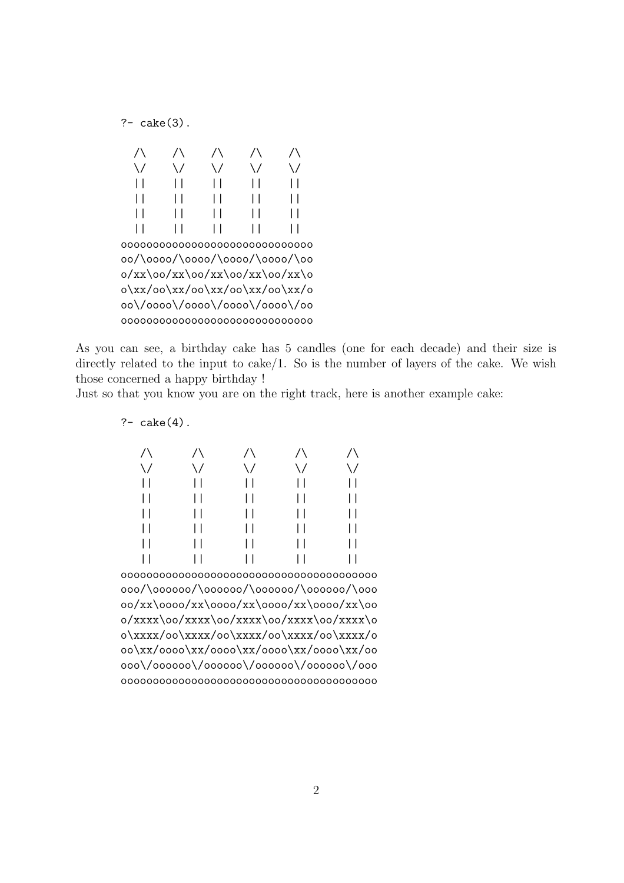$? - \text{ cake}(3)$ .

| $\setminus$                    | ∨ | ∨                              | ∨ | ∖ / |
|--------------------------------|---|--------------------------------|---|-----|
|                                |   |                                |   |     |
|                                |   |                                |   |     |
|                                |   |                                |   |     |
|                                |   |                                |   |     |
|                                |   |                                |   |     |
|                                |   | oo/\oooo/\oooo/\oooo/\oooo/\oo |   |     |
|                                |   | 0/xx\00/xx\00/xx\00/xx\00/xx\0 |   |     |
|                                |   | 0\xx/00\xx/00\xx/00\xx/00\xx/0 |   |     |
|                                |   | oo\/oooo\/oooo\/oooo\/oooo\/oo |   |     |
| 000000000000000000000000000000 |   |                                |   |     |

As you can see, a birthday cake has 5 candles (one for each decade) and their size is directly related to the input to cake/1. So is the number of layers of the cake. We wish those concerned a happy birthday !

Just so that you know you are on the right track, here is another example cake:

?- cake(4).

| 000/\000000/\000000/\000000/\000000/\000 |  |  |  |  |
|------------------------------------------|--|--|--|--|
| 00/xx\0000/xx\0000/xx\0000/xx\0000/xx\00 |  |  |  |  |
| 0/xxxx\00/xxxx\00/xxxx\00/xxxx\00/xxxx\0 |  |  |  |  |
| 0\xxxx/00\xxxx/00\xxxx/00\xxxx/00\xxxx/0 |  |  |  |  |
| 00\xx/0000\xx/0000\xx/0000\xx/0000\xx/00 |  |  |  |  |
| 000\/000000\/000000\/000000\/000000\/000 |  |  |  |  |
|                                          |  |  |  |  |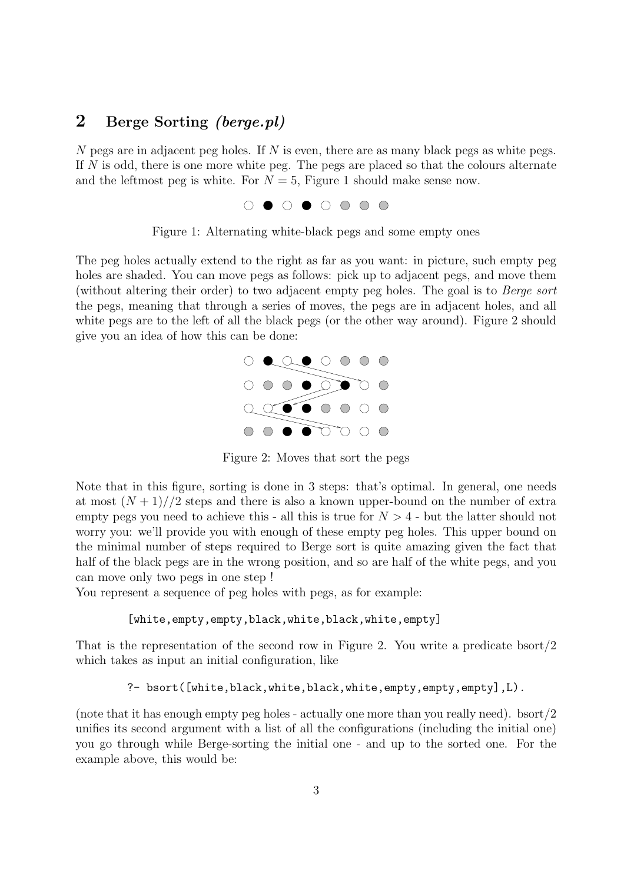# 2 Berge Sorting *(berge.pl)*

N pegs are in adjacent peg holes. If N is even, there are as many black pegs as white pegs. If  $N$  is odd, there is one more white peg. The pegs are placed so that the colours alternate and the leftmost peg is white. For  $N = 5$ , Figure 1 should make sense now.



Figure 1: Alternating white-black pegs and some empty ones

The peg holes actually extend to the right as far as you want: in picture, such empty peg holes are shaded. You can move pegs as follows: pick up to adjacent pegs, and move them (without altering their order) to two adjacent empty peg holes. The goal is to Berge sort the pegs, meaning that through a series of moves, the pegs are in adjacent holes, and all white pegs are to the left of all the black pegs (or the other way around). Figure 2 should give you an idea of how this can be done:



Figure 2: Moves that sort the pegs

Note that in this figure, sorting is done in 3 steps: that's optimal. In general, one needs at most  $(N+1)/2$  steps and there is also a known upper-bound on the number of extra empty pegs you need to achieve this - all this is true for  $N > 4$  - but the latter should not worry you: we'll provide you with enough of these empty peg holes. This upper bound on the minimal number of steps required to Berge sort is quite amazing given the fact that half of the black pegs are in the wrong position, and so are half of the white pegs, and you can move only two pegs in one step !

You represent a sequence of peg holes with pegs, as for example:

#### [white,empty,empty,black,white,black,white,empty]

That is the representation of the second row in Figure 2. You write a predicate bsort/2 which takes as input an initial configuration, like

#### ?- bsort([white,black,white,black,white,empty,empty,empty],L).

(note that it has enough empty peg holes - actually one more than you really need). bsort/2 unifies its second argument with a list of all the configurations (including the initial one) you go through while Berge-sorting the initial one - and up to the sorted one. For the example above, this would be: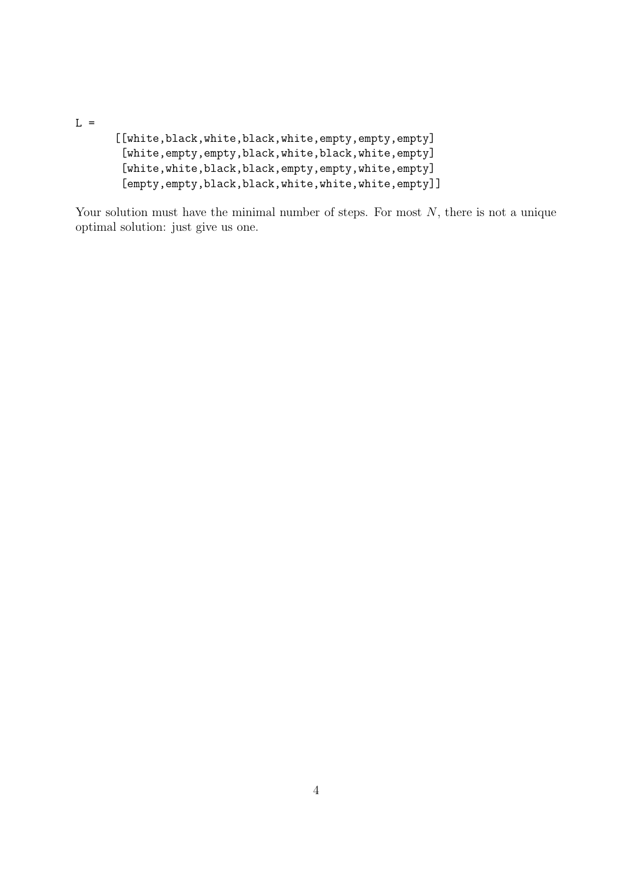$L =$ 

[[white,black,white,black,white,empty,empty,empty] [white,empty,empty,black,white,black,white,empty] [white,white,black,black,empty,empty,white,empty] [empty,empty,black,black,white,white,white,empty]]

Your solution must have the minimal number of steps. For most  $N$ , there is not a unique optimal solution: just give us one.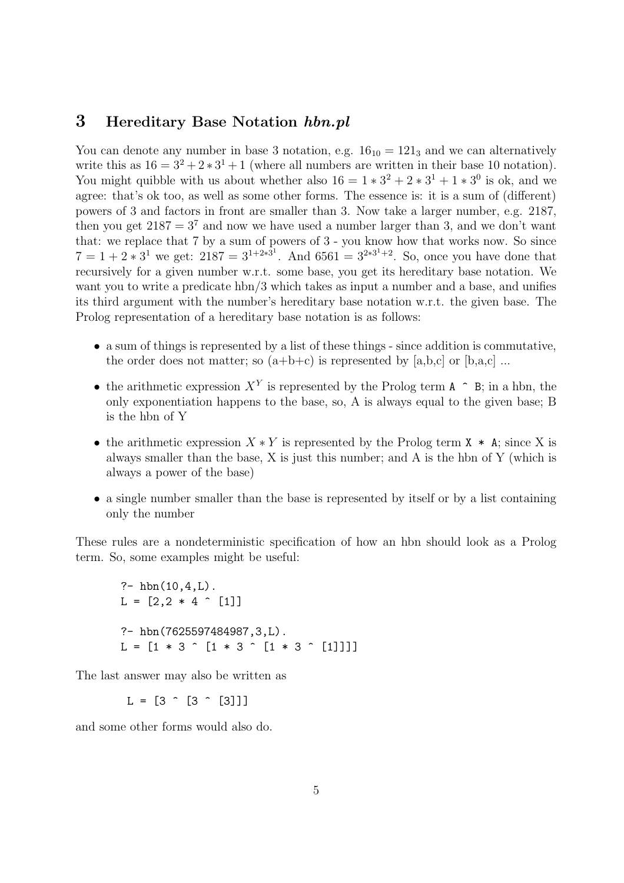#### 3 Hereditary Base Notation hbn.pl

You can denote any number in base 3 notation, e.g.  $16_{10} = 121_3$  and we can alternatively write this as  $16 = 3^2 + 2 \times 3^1 + 1$  (where all numbers are written in their base 10 notation). You might quibble with us about whether also  $16 = 1 * 3^2 + 2 * 3^1 + 1 * 3^0$  is ok, and we agree: that's ok too, as well as some other forms. The essence is: it is a sum of (different) powers of 3 and factors in front are smaller than 3. Now take a larger number, e.g. 2187, then you get  $2187 = 3<sup>7</sup>$  and now we have used a number larger than 3, and we don't want that: we replace that 7 by a sum of powers of 3 - you know how that works now. So since  $7 = 1 + 2 * 3^1$  we get:  $2187 = 3^{1+2*3^1}$ . And  $6561 = 3^{2*3^1+2}$ . So, once you have done that recursively for a given number w.r.t. some base, you get its hereditary base notation. We want you to write a predicate hbn/3 which takes as input a number and a base, and unifies its third argument with the number's hereditary base notation w.r.t. the given base. The Prolog representation of a hereditary base notation is as follows:

- a sum of things is represented by a list of these things since addition is commutative, the order does not matter; so  $(a+b+c)$  is represented by  $[a,b,c]$  or  $[b,a,c]$ ...
- the arithmetic expression  $X<sup>Y</sup>$  is represented by the Prolog term A  $\hat{ }$  B; in a hbn, the only exponentiation happens to the base, so, A is always equal to the given base; B is the hbn of Y
- the arithmetic expression  $X * Y$  is represented by the Prolog term  $X * A$ ; since X is always smaller than the base, X is just this number; and A is the hbn of Y (which is always a power of the base)
- a single number smaller than the base is represented by itself or by a list containing only the number

These rules are a nondeterministic specification of how an hbn should look as a Prolog term. So, some examples might be useful:

?-  $hbn(10, 4, L)$ .  $L = [2, 2 * 4 \hat{ } ]$ ?- hbn(7625597484987,3,L).  $L = [1 * 3 \hat{ } [1 * 3 \hat{ } ]$  [1 \* 3 ^ [1 \* 3 ^ [1]]]]

The last answer may also be written as

 $L = [3 \hat{ } (3 \hat{ } (3 \hat{ } )$ 

and some other forms would also do.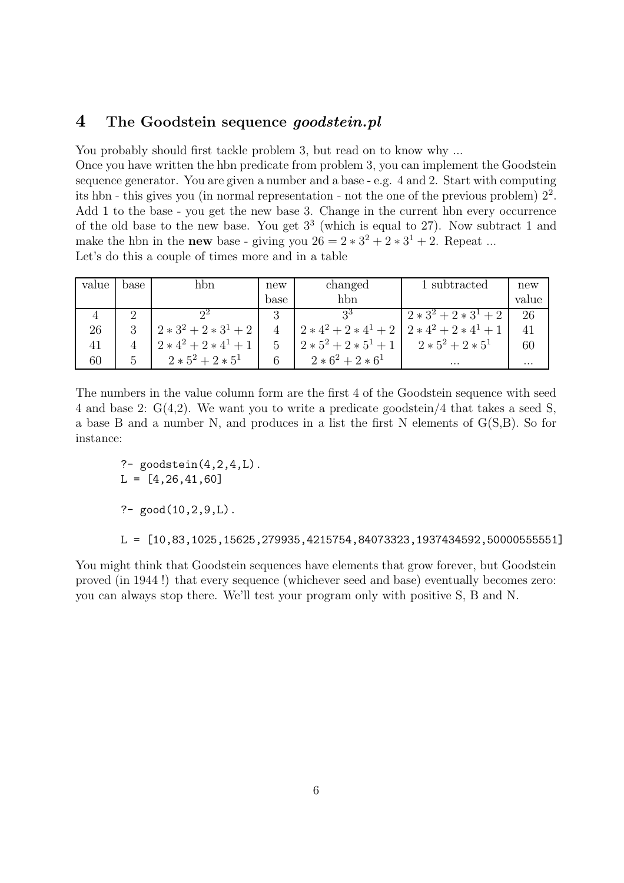## 4 The Goodstein sequence *goodstein.pl*

You probably should first tackle problem 3, but read on to know why ...

Once you have written the hbn predicate from problem 3, you can implement the Goodstein sequence generator. You are given a number and a base - e.g. 4 and 2. Start with computing its hbn - this gives you (in normal representation - not the one of the previous problem)  $2<sup>2</sup>$ . Add 1 to the base - you get the new base 3. Change in the current hbn every occurrence of the old base to the new base. You get 3 3 (which is equal to 27). Now subtract 1 and make the hbn in the **new** base - giving you  $26 = 2 \times 3^2 + 2 \times 3^1 + 2$ . Repeat ... Let's do this a couple of times more and in a table

| value | base                 | hbn                     | new  | changed                 | 1 subtracted        | new      |
|-------|----------------------|-------------------------|------|-------------------------|---------------------|----------|
|       |                      |                         | base | hbn                     |                     | value    |
|       | $\ddot{\phantom{0}}$ |                         | 3    | 25                      | $2*3^2+2*3^1+2$     | 26       |
| 26    | ച                    | $2*3^2+2*3^1+2$         |      | $2*4^2+2*4^1+2$         | $2*4^2+2*4^1+1$     | 41       |
| 41    |                      | $2 * 4^2 + 2 * 4^1 + 1$ | 5    | $2 * 5^2 + 2 * 5^1 + 1$ | $2 * 5^2 + 2 * 5^1$ | 60       |
| 60    |                      | $2 * 5^2 + 2 * 5^1$     | 6    | $2 * 6^2 + 2 * 6^1$     | $\cdots$            | $\cdots$ |

The numbers in the value column form are the first 4 of the Goodstein sequence with seed 4 and base 2: G(4,2). We want you to write a predicate goodstein/4 that takes a seed S, a base B and a number N, and produces in a list the first N elements of G(S,B). So for instance:

 $?$ - goodstein $(4, 2, 4, L)$ .  $L = [4, 26, 41, 60]$ ?-  $good(10, 2, 9, L)$ .

L = [10,83,1025,15625,279935,4215754,84073323,1937434592,50000555551]

You might think that Goodstein sequences have elements that grow forever, but Goodstein proved (in 1944 !) that every sequence (whichever seed and base) eventually becomes zero: you can always stop there. We'll test your program only with positive S, B and N.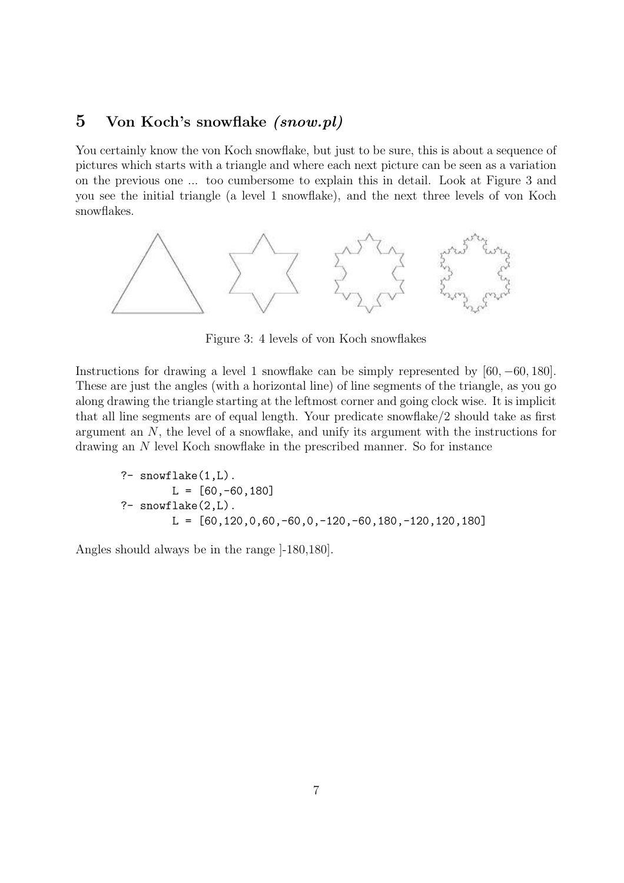## 5 Von Koch's snowflake (snow.pl)

You certainly know the von Koch snowflake, but just to be sure, this is about a sequence of pictures which starts with a triangle and where each next picture can be seen as a variation on the previous one ... too cumbersome to explain this in detail. Look at Figure 3 and you see the initial triangle (a level 1 snowflake), and the next three levels of von Koch snowflakes.



Figure 3: 4 levels of von Koch snowflakes

Instructions for drawing a level 1 snowflake can be simply represented by [60, −60, 180]. These are just the angles (with a horizontal line) of line segments of the triangle, as you go along drawing the triangle starting at the leftmost corner and going clock wise. It is implicit that all line segments are of equal length. Your predicate snowflake/2 should take as first argument an N, the level of a snowflake, and unify its argument with the instructions for drawing an N level Koch snowflake in the prescribed manner. So for instance

?- snowflake(1,L). L = [60,-60,180] ?- snowflake(2,L). L = [60,120,0,60,-60,0,-120,-60,180,-120,120,180]

Angles should always be in the range ]-180,180].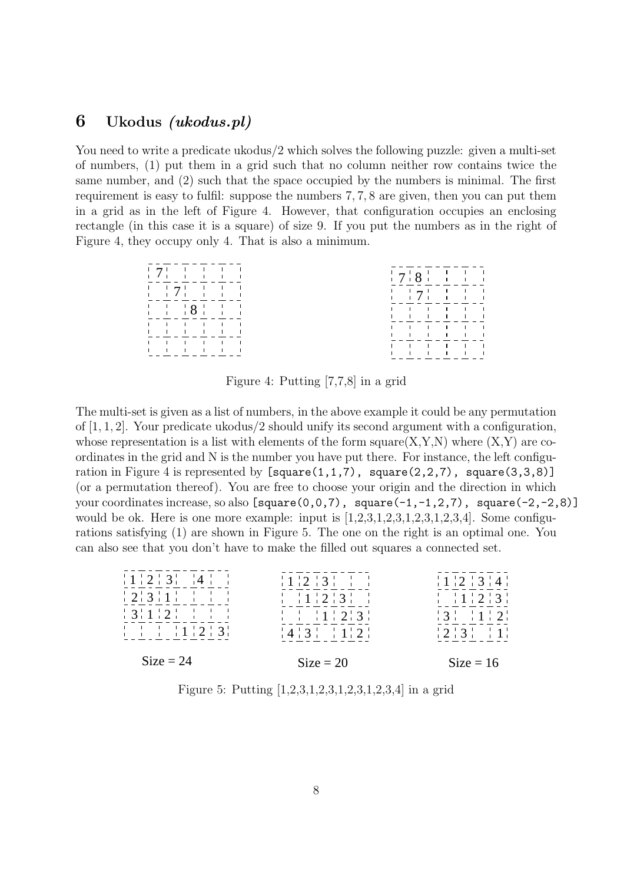#### 6 Ukodus (ukodus.pl)

You need to write a predicate ukodus/2 which solves the following puzzle: given a multi-set of numbers, (1) put them in a grid such that no column neither row contains twice the same number, and (2) such that the space occupied by the numbers is minimal. The first requirement is easy to fulfil: suppose the numbers 7, 7, 8 are given, then you can put them in a grid as in the left of Figure 4. However, that configuration occupies an enclosing rectangle (in this case it is a square) of size 9. If you put the numbers as in the right of Figure 4, they occupy only 4. That is also a minimum.



Figure 4: Putting [7,7,8] in a grid

The multi-set is given as a list of numbers, in the above example it could be any permutation of [1, 1, 2]. Your predicate ukodus/2 should unify its second argument with a configuration, whose representation is a list with elements of the form square $(X, Y, N)$  where  $(X, Y)$  are coordinates in the grid and N is the number you have put there. For instance, the left configuration in Figure 4 is represented by  $[square(1,1,7), square(2,2,7), square(3,3,8)]$ (or a permutation thereof). You are free to choose your origin and the direction in which your coordinates increase, so also  $[square(0,0,7), square(-1,-1,2,7), square(-2,-2,8)]$ would be ok. Here is one more example: input is  $[1,2,3,1,2,3,1,2,3,4]$ . Some configurations satisfying (1) are shown in Figure 5. The one on the right is an optimal one. You can also see that you don't have to make the filled out squares a connected set.

| 1123                                                                  | $\frac{1}{2}$ 1 $\frac{1}{2}$ $\frac{1}{3}$ $\frac{1}{1}$ $\frac{1}{1}$             | 1121314                                                               |
|-----------------------------------------------------------------------|-------------------------------------------------------------------------------------|-----------------------------------------------------------------------|
|                                                                       | $\frac{1}{1}$ $\frac{1}{1}$ $\frac{1}{2}$ $\frac{1}{3}$ $\frac{1}{1}$               | $\frac{1}{2}$ $\frac{1}{2}$ $\frac{1}{2}$ $\frac{1}{3}$ $\frac{1}{2}$ |
| $3112$ $172$                                                          | $\frac{1}{1}$ $\frac{1}{1}$ $\frac{1}{1}$ $\frac{1}{2}$ $\frac{1}{3}$ $\frac{1}{1}$ | $\frac{1}{2}$ 3 $\frac{1}{2}$ 1 $\frac{1}{2}$                         |
| $\frac{1}{1}$ $\frac{1}{1}$ $\frac{1}{1}$ $\frac{1}{2}$ $\frac{1}{3}$ | $\frac{1}{4}$ $\frac{1}{3}$ $\frac{1}{1}$ $\frac{1}{1}$ $\frac{1}{2}$               | $\frac{1}{2}$ 2 3 $\frac{1}{2}$ 1                                     |
| $Size = 24$                                                           | $Size = 20$                                                                         | $Size = 16$                                                           |

Figure 5: Putting [1,2,3,1,2,3,1,2,3,1,2,3,4] in a grid